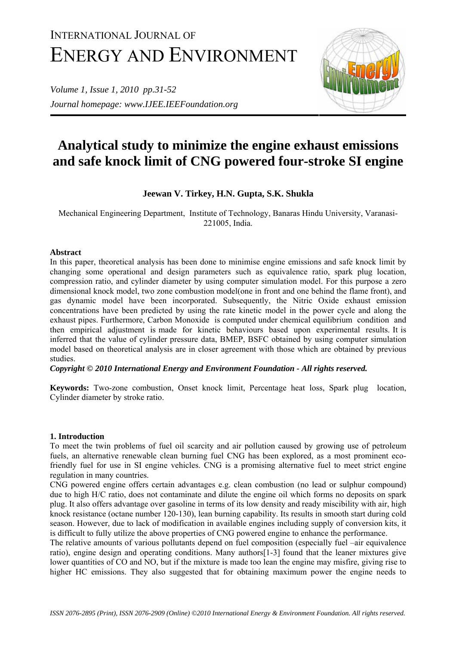# INTERNATIONAL JOURNAL OF ENERGY AND ENVIRONMENT

*Volume 1, Issue 1, 2010 pp.31-52 Journal homepage: www.IJEE.IEEFoundation.org* 



# **Analytical study to minimize the engine exhaust emissions and safe knock limit of CNG powered four-stroke SI engine**

# **Jeewan V. Tirkey, H.N. Gupta, S.K. Shukla**

Mechanical Engineering Department, Institute of Technology, Banaras Hindu University, Varanasi-221005, India.

# **Abstract**

In this paper, theoretical analysis has been done to minimise engine emissions and safe knock limit by changing some operational and design parameters such as equivalence ratio, spark plug location, compression ratio, and cylinder diameter by using computer simulation model. For this purpose a zero dimensional knock model, two zone combustion model(one in front and one behind the flame front), and gas dynamic model have been incorporated. Subsequently, the Nitric Oxide exhaust emission concentrations have been predicted by using the rate kinetic model in the power cycle and along the exhaust pipes. Furthermore, Carbon Monoxide is computed under chemical equilibrium condition and then empirical adjustment is made for kinetic behaviours based upon experimental results. It is inferred that the value of cylinder pressure data, BMEP, BSFC obtained by using computer simulation model based on theoretical analysis are in closer agreement with those which are obtained by previous studies.

*Copyright © 2010 International Energy and Environment Foundation - All rights reserved.*

**Keywords:** Two-zone combustion, Onset knock limit, Percentage heat loss, Spark plug location, Cylinder diameter by stroke ratio.

# **1. Introduction**

To meet the twin problems of fuel oil scarcity and air pollution caused by growing use of petroleum fuels, an alternative renewable clean burning fuel CNG has been explored, as a most prominent ecofriendly fuel for use in SI engine vehicles. CNG is a promising alternative fuel to meet strict engine regulation in many countries.

CNG powered engine offers certain advantages e.g. clean combustion (no lead or sulphur compound) due to high H/C ratio, does not contaminate and dilute the engine oil which forms no deposits on spark plug. It also offers advantage over gasoline in terms of its low density and ready miscibility with air, high knock resistance (octane number 120-130), lean burning capability. Its results in smooth start during cold season. However, due to lack of modification in available engines including supply of conversion kits, it is difficult to fully utilize the above properties of CNG powered engine to enhance the performance.

The relative amounts of various pollutants depend on fuel composition (especially fuel –air equivalence ratio), engine design and operating conditions. Many authors[1-3] found that the leaner mixtures give lower quantities of CO and NO, but if the mixture is made too lean the engine may misfire, giving rise to higher HC emissions. They also suggested that for obtaining maximum power the engine needs to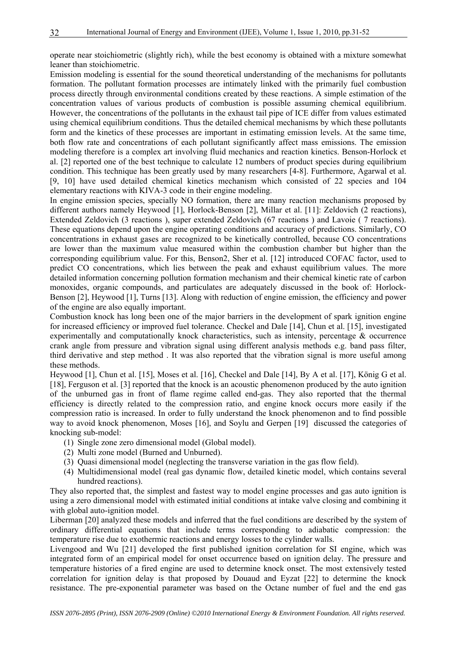operate near stoichiometric (slightly rich), while the best economy is obtained with a mixture somewhat leaner than stoichiometric.

Emission modeling is essential for the sound theoretical understanding of the mechanisms for pollutants formation. The pollutant formation processes are intimately linked with the primarily fuel combustion process directly through environmental conditions created by these reactions. A simple estimation of the concentration values of various products of combustion is possible assuming chemical equilibrium. However, the concentrations of the pollutants in the exhaust tail pipe of ICE differ from values estimated using chemical equilibrium conditions. Thus the detailed chemical mechanisms by which these pollutants form and the kinetics of these processes are important in estimating emission levels. At the same time, both flow rate and concentrations of each pollutant significantly affect mass emissions. The emission modeling therefore is a complex art involving fluid mechanics and reaction kinetics. Benson-Horlock et al. [2] reported one of the best technique to calculate 12 numbers of product species during equilibrium condition. This technique has been greatly used by many researchers [4-8]. Furthermore, Agarwal et al. [9, 10] have used detailed chemical kinetics mechanism which consisted of 22 species and 104 elementary reactions with KIVA-3 code in their engine modeling.

In engine emission species, specially NO formation, there are many reaction mechanisms proposed by different authors namely Heywood [1], Horlock-Benson [2], Millar et al. [11]: Zeldovich (2 reactions), Extended Zeldovich (3 reactions ), super extended Zeldovich (67 reactions ) and Lavoie ( 7 reactions). These equations depend upon the engine operating conditions and accuracy of predictions. Similarly, CO concentrations in exhaust gases are recognized to be kinetically controlled, because CO concentrations are lower than the maximum value measured within the combustion chamber but higher than the corresponding equilibrium value. For this, Benson2, Sher et al. [12] introduced COFAC factor, used to predict CO concentrations, which lies between the peak and exhaust equilibrium values. The more detailed information concerning pollution formation mechanism and their chemical kinetic rate of carbon monoxides, organic compounds, and particulates are adequately discussed in the book of: Horlock-Benson [2], Heywood [1], Turns [13]. Along with reduction of engine emission, the efficiency and power of the engine are also equally important.

Combustion knock has long been one of the major barriers in the development of spark ignition engine for increased efficiency or improved fuel tolerance. Checkel and Dale [14], Chun et al. [15], investigated experimentally and computationally knock characteristics, such as intensity, percentage & occurrence crank angle from pressure and vibration signal using different analysis methods e.g. band pass filter, third derivative and step method . It was also reported that the vibration signal is more useful among these methods.

Heywood [1], Chun et al. [15], Moses et al. [16], Checkel and Dale [14], By A et al. [17], König G et al. [18], Ferguson et al. [3] reported that the knock is an acoustic phenomenon produced by the auto ignition of the unburned gas in front of flame regime called end-gas. They also reported that the thermal efficiency is directly related to the compression ratio, and engine knock occurs more easily if the compression ratio is increased. In order to fully understand the knock phenomenon and to find possible way to avoid knock phenomenon, Moses [16], and Soylu and Gerpen [19] discussed the categories of knocking sub-model:

- (1) Single zone zero dimensional model (Global model).
- (2) Multi zone model (Burned and Unburned).
- (3) Quasi dimensional model (neglecting the transverse variation in the gas flow field).
- (4) Multidimensional model (real gas dynamic flow, detailed kinetic model, which contains several hundred reactions).

They also reported that, the simplest and fastest way to model engine processes and gas auto ignition is using a zero dimensional model with estimated initial conditions at intake valve closing and combining it with global auto-ignition model.

Liberman [20] analyzed these models and inferred that the fuel conditions are described by the system of ordinary differential equations that include terms corresponding to adiabatic compression: the temperature rise due to exothermic reactions and energy losses to the cylinder walls.

Livengood and Wu [21] developed the first published ignition correlation for SI engine, which was integrated form of an empirical model for onset occurrence based on ignition delay. The pressure and temperature histories of a fired engine are used to determine knock onset. The most extensively tested correlation for ignition delay is that proposed by Douaud and Eyzat [22] to determine the knock resistance. The pre-exponential parameter was based on the Octane number of fuel and the end gas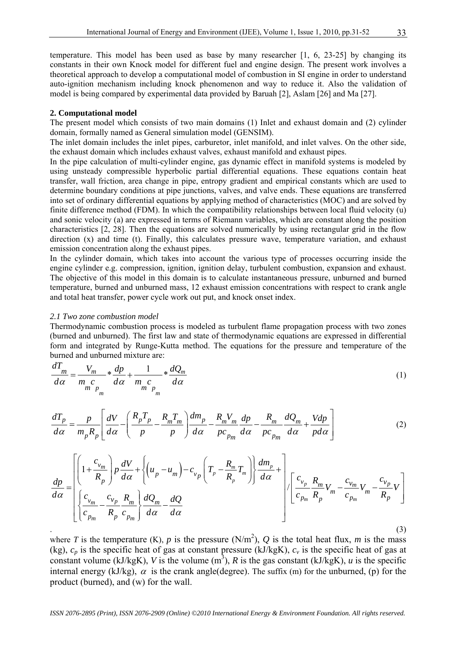temperature. This model has been used as base by many researcher [1, 6, 23-25] by changing its constants in their own Knock model for different fuel and engine design. The present work involves a theoretical approach to develop a computational model of combustion in SI engine in order to understand auto-ignition mechanism including knock phenomenon and way to reduce it. Also the validation of model is being compared by experimental data provided by Baruah [2], Aslam [26] and Ma [27].

#### **2. Computational model**

The present model which consists of two main domains (1) Inlet and exhaust domain and (2) cylinder domain, formally named as General simulation model (GENSIM).

The inlet domain includes the inlet pipes, carburetor, inlet manifold, and inlet valves. On the other side, the exhaust domain which includes exhaust valves, exhaust manifold and exhaust pipes.

In the pipe calculation of multi-cylinder engine, gas dynamic effect in manifold systems is modeled by using unsteady compressible hyperbolic partial differential equations. These equations contain heat transfer, wall friction, area change in pipe, entropy gradient and empirical constants which are used to determine boundary conditions at pipe junctions, valves, and valve ends. These equations are transferred into set of ordinary differential equations by applying method of characteristics (MOC) and are solved by finite difference method (FDM). In which the compatibility relationships between local fluid velocity (u) and sonic velocity (a) are expressed in terms of Riemann variables, which are constant along the position characteristics [2, 28]. Then the equations are solved numerically by using rectangular grid in the flow direction (x) and time (t). Finally, this calculates pressure wave, temperature variation, and exhaust emission concentration along the exhaust pipes.

In the cylinder domain, which takes into account the various type of processes occurring inside the engine cylinder e.g. compression, ignition, ignition delay, turbulent combustion, expansion and exhaust. The objective of this model in this domain is to calculate instantaneous pressure, unburned and burned temperature, burned and unburned mass, 12 exhaust emission concentrations with respect to crank angle and total heat transfer, power cycle work out put, and knock onset index.

#### *2.1 Two zone combustion model*

Thermodynamic combustion process is modeled as turbulent flame propagation process with two zones (burned and unburned). The first law and state of thermodynamic equations are expressed in differential form and integrated by Runge-Kutta method. The equations for the pressure and temperature of the burned and unburned mixture are:

$$
\frac{dT_m}{d\alpha} = \frac{V_m}{m} \frac{d\rho}{d\alpha} + \frac{1}{m} \frac{dQ_m}{d\alpha}
$$
\n<sup>(1)</sup>

$$
\frac{dT_p}{d\alpha} = \frac{p}{m_p R_p} \left[ \frac{dV}{d\alpha} - \left( \frac{R_p T_p}{p} - \frac{R_m T_m}{p} \right) \frac{dm_p}{d\alpha} - \frac{R_m V_m}{p c_{p_m}} \frac{dp}{d\alpha} - \frac{R_m}{p c_{p_m}} \frac{dQ_m}{d\alpha} + \frac{V dp}{p d\alpha} \right] \tag{2}
$$

$$
\frac{dp}{d\alpha} = \left[ \left( 1 + \frac{c_{v_m}}{R_p} \right) p \frac{dV}{d\alpha} + \left\{ \left( u_p - u_m \right) - c_{v_p} \left( T_p - \frac{R_m}{R_p} T_m \right) \right\} \frac{dm_p}{d\alpha} + \left\{ \left( \frac{c_{v_p}}{c_{p_m}} \frac{R_m}{R_p} V_m - \frac{c_{v_m}}{c_{p_m}} V_m - \frac{c_{v_p}}{R_p} V \right) \right\} \frac{dm_p}{d\alpha} \right\}
$$
\n
$$
\left[ \frac{c_{v_p}}{c_{p_m}} \frac{R_m}{R_p} V_m - \frac{c_{v_m}}{c_{p_m}} V_m - \frac{c_{v_p}}{R_p} V \right]
$$
\n
$$
\tag{3}
$$

where *T* is the temperature (K), *p* is the pressure (N/m<sup>2</sup>), *Q* is the total heat flux, *m* is the mass (kg),  $c_p$  is the specific heat of gas at constant pressure (kJ/kgK),  $c_v$  is the specific heat of gas at constant volume (kJ/kgK), *V* is the volume  $(m^3)$ , *R* is the gas constant (kJ/kgK), *u* is the specific internal energy (kJ/kg),  $\alpha$  is the crank angle(degree). The suffix (m) for the unburned, (p) for the product (burned), and (w) for the wall.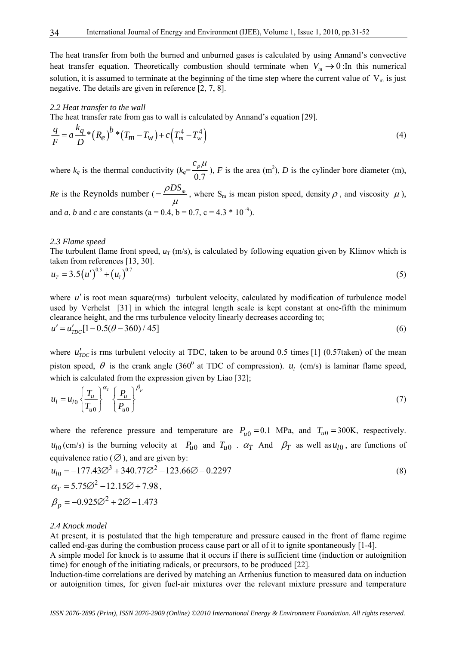The heat transfer from both the burned and unburned gases is calculated by using Annand's convective heat transfer equation. Theoretically combustion should terminate when  $V_m \rightarrow 0$  In this numerical solution, it is assumed to terminate at the beginning of the time step where the current value of  $V_m$  is just negative. The details are given in reference [2, 7, 8].

#### *2.2 Heat transfer to the wall*

The heat transfer rate from gas to wall is calculated by Annand's equation [29].

$$
\frac{q}{F} = a\frac{k_q}{D} * (R_e)^b * (T_m - T_w) + c(T_m^4 - T_w^4)
$$
\n(4)

where  $k_q$  is the thermal conductivity  $(k_q = \frac{p^q}{0.7})$  $\frac{c_p \mu}{\sigma}$ ), *F* is the area (m<sup>2</sup>), *D* is the cylinder bore diameter (m), *Re* is the Reynolds number ( $=\frac{\rho DS_m}{\mu}$ , where S<sub>m</sub> is mean piston speed, density  $\rho$ , and viscosity  $\mu$ ),

and *a*, *b* and *c* are constants (a = 0.4, b = 0.7, c = 4.3  $*$  10<sup>-9</sup>).

#### *2.3 Flame speed*

The turbulent flame front speed,  $u_T$  (m/s), is calculated by following equation given by Klimov which is taken from references [13, 30].

$$
u_T = 3.5 (u')^{0.3} + (u_t)^{0.7}
$$
 (5)

where *u'* is root mean square(rms) turbulent velocity, calculated by modification of turbulence model used by Verhelst [31] in which the integral length scale is kept constant at one-fifth the minimum clearance height, and the rms turbulence velocity linearly decreases according to;  $u' = u'_{\text{TDC}}[1 - 0.5(\theta - 360) / 45]$  (6)

where  $u'_{TDC}$  is rms turbulent velocity at TDC, taken to be around 0.5 times [1] (0.57taken) of the mean piston speed,  $\theta$  is the crank angle (360<sup>°</sup> at TDC of compression).  $u_l$  (cm/s) is laminar flame speed, which is calculated from the expression given by Liao [32];

$$
u_l = u_{l0} \left\{ \frac{T_u}{T_{u0}} \right\}^{\alpha_T} \left\{ \frac{P_u}{P_{u0}} \right\}^{\beta_p} \tag{7}
$$

where the reference pressure and temperature are  $P_{u0} = 0.1$  MPa, and  $T_{u0} = 300$ K, respectively.  $u_{l0}$  (cm/s) is the burning velocity at  $P_{u0}$  and  $T_{u0}$ .  $\alpha_T$  And  $\beta_T$  as well as  $u_{l0}$ , are functions of equivalence ratio ( $\varnothing$ ), and are given by:

$$
u_{l0} = -177.43\varnothing^3 + 340.77\varnothing^2 - 123.66\varnothing - 0.2297
$$
  
\n
$$
\alpha_T = 5.75\varnothing^2 - 12.15\varnothing + 7.98,
$$
  
\n
$$
\beta_p = -0.925\varnothing^2 + 2\varnothing - 1.473
$$
\n(8)

#### *2.4 Knock model*

At present, it is postulated that the high temperature and pressure caused in the front of flame regime called end-gas during the combustion process cause part or all of it to ignite spontaneously [1-4].

A simple model for knock is to assume that it occurs if there is sufficient time (induction or autoignition time) for enough of the initiating radicals, or precursors, to be produced [22].

Induction-time correlations are derived by matching an Arrhenius function to measured data on induction or autoignition times, for given fuel-air mixtures over the relevant mixture pressure and temperature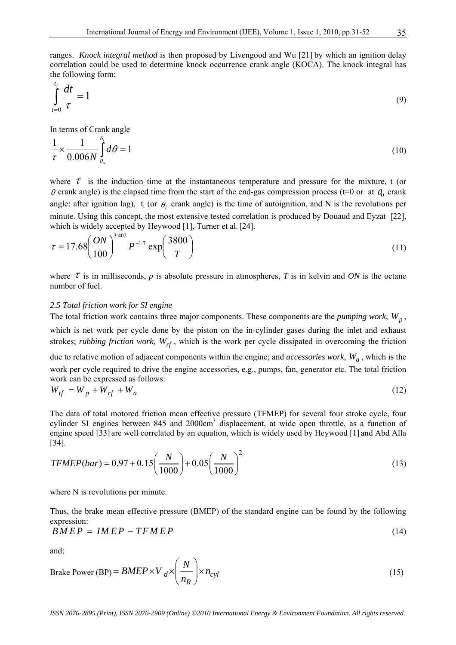ranges. *Knock integral method* is then proposed by Livengood and Wu [21] by which an ignition delay correlation could be used to determine knock occurrence crank angle (KOCA). The knock integral has the following form;

$$
\int_{t=0}^{t_i} \frac{dt}{\tau} = 1\tag{9}
$$

In terms of Crank angle

$$
\frac{1}{\tau} \times \frac{1}{0.006N} \int_{\theta_o}^{\theta_i} d\theta = 1
$$
\n(10)

where  $\tau$  is the induction time at the instantaneous temperature and pressure for the mixture, t (or  $θ$  crank angle) is the elapsed time from the start of the end-gas compression process (t=0 or at  $θ_0$  crank angle: after ignition lag),  $t_i$  (or  $\theta_i$  crank angle) is the time of autoignition, and N is the revolutions per minute. Using this concept, the most extensive tested correlation is produced by Douaud and Eyzat [22], which is widely accepted by Heywood [1], Turner et al.[24].

$$
\tau = 17.68 \left(\frac{ON}{100}\right)^{3.402} P^{-1.7} \exp\left(\frac{3800}{T}\right)
$$
\n(11)

where  $\tau$  is in milliseconds, *p* is absolute pressure in atmospheres, *T* is in kelvin and *ON* is the octane number of fuel.

#### *2.5 Total friction work for SI engine*

The total friction work contains three major components. These components are the *pumping work*,  $W_p$ ,

which is net work per cycle done by the piston on the in-cylinder gases during the inlet and exhaust strokes; *rubbing friction work*,  $W_{rf}$ , which is the work per cycle dissipated in overcoming the friction

due to relative motion of adjacent components within the engine; and *accessories work*,  $W_a$ , which is the work per cycle required to drive the engine accessories, e.g., pumps, fan, generator etc. The total friction work can be expressed as follows:

$$
W_{tf} = W_p + W_{rf} + W_a \tag{12}
$$

The data of total motored friction mean effective pressure (TFMEP) for several four stroke cycle, four cylinder SI engines between 845 and 2000cm<sup>3</sup> displacement, at wide open throttle, as a function of engine speed [33] are well correlated by an equation, which is widely used by Heywood [1] and Abd Alla [34].

$$
TFMEP(bar) = 0.97 + 0.15 \left(\frac{N}{1000}\right) + 0.05 \left(\frac{N}{1000}\right)^2\tag{13}
$$

where N is revolutions per minute.

Thus, the brake mean effective pressure (BMEP) of the standard engine can be found by the following expression:

$$
BMEP = IMEP - TFMEP \tag{14}
$$

and;

Brake Power (BP) = 
$$
BMEP \times V_d \times \left(\frac{N}{n_R}\right) \times n_{cyl}
$$
 (15)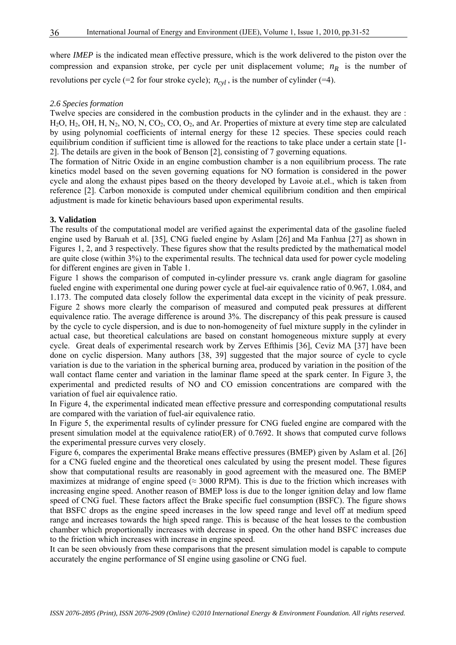where *IMEP* is the indicated mean effective pressure, which is the work delivered to the piston over the compression and expansion stroke, per cycle per unit displacement volume;  $n<sub>R</sub>$  is the number of revolutions per cycle (=2 for four stroke cycle);  $n_{cyl}$ , is the number of cylinder (=4).

#### *2.6 Species formation*

Twelve species are considered in the combustion products in the cylinder and in the exhaust. they are : H<sub>2</sub>O, H<sub>2</sub>, OH, H, N<sub>2</sub>, NO, N, CO<sub>2</sub>, CO, O<sub>2</sub>, and Ar. Properties of mixture at every time step are calculated by using polynomial coefficients of internal energy for these 12 species. These species could reach equilibrium condition if sufficient time is allowed for the reactions to take place under a certain state [1- 2]. The details are given in the book of Benson [2], consisting of 7 governing equations.

The formation of Nitric Oxide in an engine combustion chamber is a non equilibrium process. The rate kinetics model based on the seven governing equations for NO formation is considered in the power cycle and along the exhaust pipes based on the theory developed by Lavoie at.el., which is taken from reference [2]. Carbon monoxide is computed under chemical equilibrium condition and then empirical adjustment is made for kinetic behaviours based upon experimental results.

#### **3. Validation**

The results of the computational model are verified against the experimental data of the gasoline fueled engine used by Baruah et al. [35], CNG fueled engine by Aslam [26] and Ma Fanhua [27] as shown in Figures 1, 2, and 3 respectively. These figures show that the results predicted by the mathematical model are quite close (within 3%) to the experimental results. The technical data used for power cycle modeling for different engines are given in Table 1.

Figure 1 shows the comparison of computed in-cylinder pressure vs. crank angle diagram for gasoline fueled engine with experimental one during power cycle at fuel-air equivalence ratio of 0.967, 1.084, and 1.173. The computed data closely follow the experimental data except in the vicinity of peak pressure. Figure 2 shows more clearly the comparison of measured and computed peak pressures at different equivalence ratio. The average difference is around 3%. The discrepancy of this peak pressure is caused by the cycle to cycle dispersion, and is due to non-homogeneity of fuel mixture supply in the cylinder in actual case, but theoretical calculations are based on constant homogeneous mixture supply at every cycle. Great deals of experimental research work by Zerves Efthimis [36], Ceviz MA [37] have been done on cyclic dispersion. Many authors [38, 39] suggested that the major source of cycle to cycle variation is due to the variation in the spherical burning area, produced by variation in the position of the wall contact flame center and variation in the laminar flame speed at the spark center. In Figure 3, the experimental and predicted results of NO and CO emission concentrations are compared with the variation of fuel air equivalence ratio.

In Figure 4, the experimental indicated mean effective pressure and corresponding computational results are compared with the variation of fuel-air equivalence ratio.

In Figure 5, the experimental results of cylinder pressure for CNG fueled engine are compared with the present simulation model at the equivalence ratio(ER) of 0.7692. It shows that computed curve follows the experimental pressure curves very closely.

Figure 6, compares the experimental Brake means effective pressures (BMEP) given by Aslam et al. [26] for a CNG fueled engine and the theoretical ones calculated by using the present model. These figures show that computational results are reasonably in good agreement with the measured one. The BMEP maximizes at midrange of engine speed ( $\approx$  3000 RPM). This is due to the friction which increases with increasing engine speed. Another reason of BMEP loss is due to the longer ignition delay and low flame speed of CNG fuel. These factors affect the Brake specific fuel consumption (BSFC). The figure shows that BSFC drops as the engine speed increases in the low speed range and level off at medium speed range and increases towards the high speed range. This is because of the heat losses to the combustion chamber which proportionally increases with decrease in speed. On the other hand BSFC increases due to the friction which increases with increase in engine speed.

It can be seen obviously from these comparisons that the present simulation model is capable to compute accurately the engine performance of SI engine using gasoline or CNG fuel.

36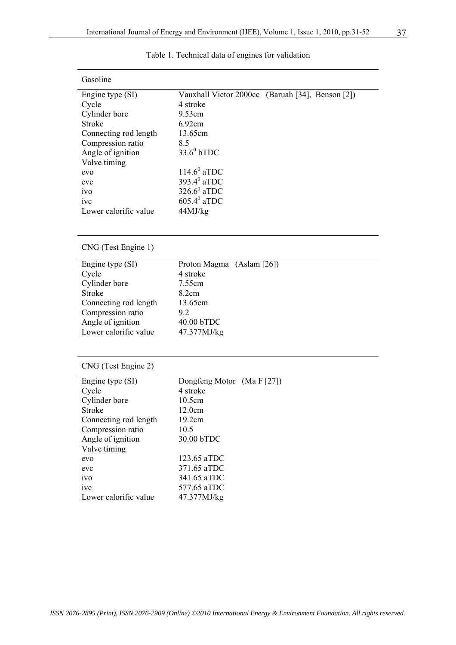| Gasoline              |                                                  |
|-----------------------|--------------------------------------------------|
| Engine type (SI)      | Vauxhall Victor 2000cc (Baruah [34], Benson [2]) |
| Cycle                 | 4 stroke                                         |
| Cylinder bore         | 9.53cm                                           |
| Stroke                | 6.92cm                                           |
| Connecting rod length | 13.65cm                                          |
| Compression ratio     | 8.5                                              |
| Angle of ignition     | $33.6^{\circ}$ bTDC                              |
| Valve timing          |                                                  |
| evo                   | $114.6^{\circ}$ aTDC                             |
| evc                   | $393.40$ aTDC                                    |
| ivo                   | $326.6^{\circ}$ aTDC                             |
| ivc                   | $605.4^{\circ}$ aTDC                             |
| Lower calorific value | $44$ MJ/ $kg$                                    |

# Table 1. Technical data of engines for validation

CNG (Test Engine 1)

| Engine type (SI)      | Proton Magma (Aslam [26]) |
|-----------------------|---------------------------|
| Cycle                 | 4 stroke                  |
| Cylinder bore         | 7.55cm                    |
| Stroke                | 8.2cm                     |
| Connecting rod length | 13.65cm                   |
| Compression ratio     | 9.2                       |
| Angle of ignition     | 40.00 bTDC                |
| Lower calorific value | 47.377MJ/kg               |

## CNG (Test Engine 2)

| Engine type (SI)      | Dongfeng Motor (Ma F [27]) |  |
|-----------------------|----------------------------|--|
| Cycle                 | 4 stroke                   |  |
| Cylinder bore         | 10.5cm                     |  |
| Stroke                | 12.0cm                     |  |
| Connecting rod length | 19.2cm                     |  |
| Compression ratio     | 10.5                       |  |
| Angle of ignition     | 30.00 bTDC                 |  |
| Valve timing          |                            |  |
| evo                   | 123.65 aTDC                |  |
| evc                   | 371.65 aTDC                |  |
| ivo                   | 341.65 aTDC                |  |
| ivc                   | 577.65 aTDC                |  |
| Lower calorific value | 47.377MJ/kg                |  |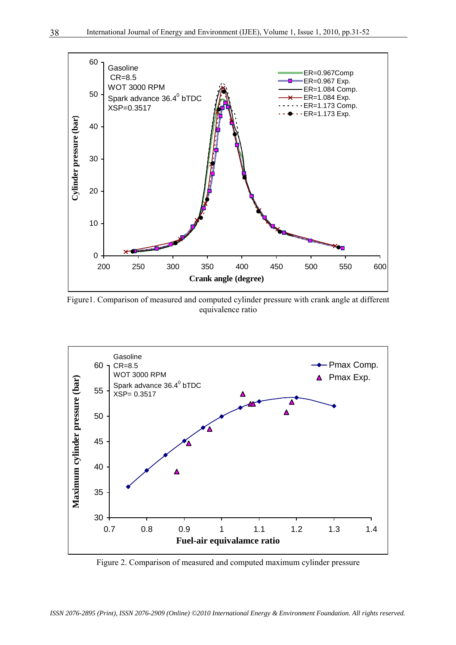

Figure1. Comparison of measured and computed cylinder pressure with crank angle at different equivalence ratio



Figure 2. Comparison of measured and computed maximum cylinder pressure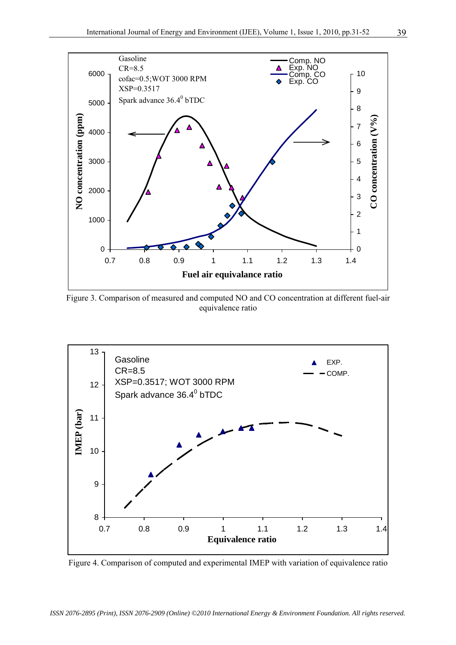

Figure 3. Comparison of measured and computed NO and CO concentration at different fuel-air equivalence ratio





39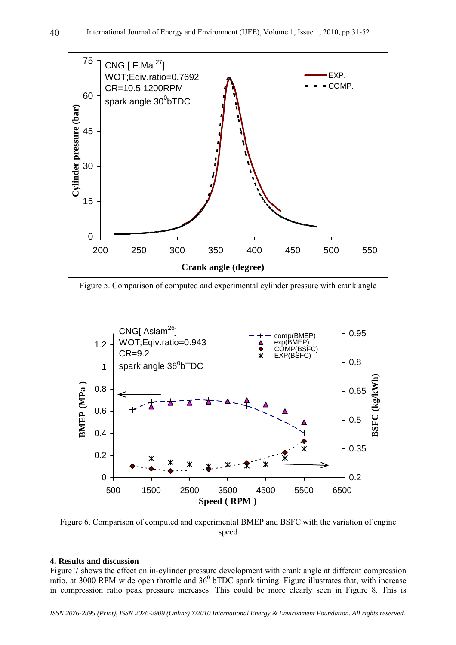

Figure 5. Comparison of computed and experimental cylinder pressure with crank angle



Figure 6. Comparison of computed and experimental BMEP and BSFC with the variation of engine speed

#### **4. Results and discussion**

Figure 7 shows the effect on in-cylinder pressure development with crank angle at different compression ratio, at 3000 RPM wide open throttle and  $36<sup>0</sup>$  bTDC spark timing. Figure illustrates that, with increase in compression ratio peak pressure increases. This could be more clearly seen in Figure 8. This is

*ISSN 2076-2895 (Print), ISSN 2076-2909 (Online) ©2010 International Energy & Environment Foundation. All rights reserved.*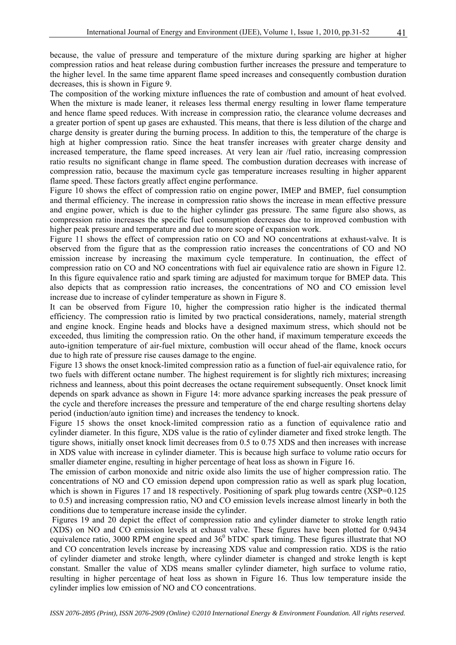because, the value of pressure and temperature of the mixture during sparking are higher at higher compression ratios and heat release during combustion further increases the pressure and temperature to the higher level. In the same time apparent flame speed increases and consequently combustion duration decreases, this is shown in Figure 9.

The composition of the working mixture influences the rate of combustion and amount of heat evolved. When the mixture is made leaner, it releases less thermal energy resulting in lower flame temperature and hence flame speed reduces. With increase in compression ratio, the clearance volume decreases and a greater portion of spent up gases are exhausted. This means, that there is less dilution of the charge and charge density is greater during the burning process. In addition to this, the temperature of the charge is high at higher compression ratio. Since the heat transfer increases with greater charge density and increased temperature, the flame speed increases. At very lean air /fuel ratio, increasing compression ratio results no significant change in flame speed. The combustion duration decreases with increase of compression ratio, because the maximum cycle gas temperature increases resulting in higher apparent flame speed. These factors greatly affect engine performance.

Figure 10 shows the effect of compression ratio on engine power, IMEP and BMEP, fuel consumption and thermal efficiency. The increase in compression ratio shows the increase in mean effective pressure and engine power, which is due to the higher cylinder gas pressure. The same figure also shows, as compression ratio increases the specific fuel consumption decreases due to improved combustion with higher peak pressure and temperature and due to more scope of expansion work.

Figure 11 shows the effect of compression ratio on CO and NO concentrations at exhaust-valve. It is observed from the figure that as the compression ratio increases the concentrations of CO and NO emission increase by increasing the maximum cycle temperature. In continuation, the effect of compression ratio on CO and NO concentrations with fuel air equivalence ratio are shown in Figure 12. In this figure equivalence ratio and spark timing are adjusted for maximum torque for BMEP data. This also depicts that as compression ratio increases, the concentrations of NO and CO emission level increase due to increase of cylinder temperature as shown in Figure 8.

It can be observed from Figure 10, higher the compression ratio higher is the indicated thermal efficiency. The compression ratio is limited by two practical considerations, namely, material strength and engine knock. Engine heads and blocks have a designed maximum stress, which should not be exceeded, thus limiting the compression ratio. On the other hand, if maximum temperature exceeds the auto-ignition temperature of air-fuel mixture, combustion will occur ahead of the flame, knock occurs due to high rate of pressure rise causes damage to the engine.

Figure 13 shows the onset knock-limited compression ratio as a function of fuel-air equivalence ratio, for two fuels with different octane number. The highest requirement is for slightly rich mixtures; increasing richness and leanness, about this point decreases the octane requirement subsequently. Onset knock limit depends on spark advance as shown in Figure 14: more advance sparking increases the peak pressure of the cycle and therefore increases the pressure and temperature of the end charge resulting shortens delay period (induction/auto ignition time) and increases the tendency to knock.

Figure 15 shows the onset knock-limited compression ratio as a function of equivalence ratio and cylinder diameter. In this figure, XDS value is the ratio of cylinder diameter and fixed stroke length. The tigure shows, initially onset knock limit decreases from 0.5 to 0.75 XDS and then increases with increase in XDS value with increase in cylinder diameter. This is because high surface to volume ratio occurs for smaller diameter engine, resulting in higher percentage of heat loss as shown in Figure 16.

The emission of carbon monoxide and nitric oxide also limits the use of higher compression ratio. The concentrations of NO and CO emission depend upon compression ratio as well as spark plug location, which is shown in Figures 17 and 18 respectively. Positioning of spark plug towards centre (XSP=0.125) to 0.5) and increasing compression ratio, NO and CO emission levels increase almost linearly in both the conditions due to temperature increase inside the cylinder.

 Figures 19 and 20 depict the effect of compression ratio and cylinder diameter to stroke length ratio (XDS) on NO and CO emission levels at exhaust valve. These figures have been plotted for 0.9434 equivalence ratio, 3000 RPM engine speed and  $36<sup>0</sup>$  bTDC spark timing. These figures illustrate that NO and CO concentration levels increase by increasing XDS value and compression ratio. XDS is the ratio of cylinder diameter and stroke length, where cylinder diameter is changed and stroke length is kept constant. Smaller the value of XDS means smaller cylinder diameter, high surface to volume ratio, resulting in higher percentage of heat loss as shown in Figure 16. Thus low temperature inside the cylinder implies low emission of NO and CO concentrations.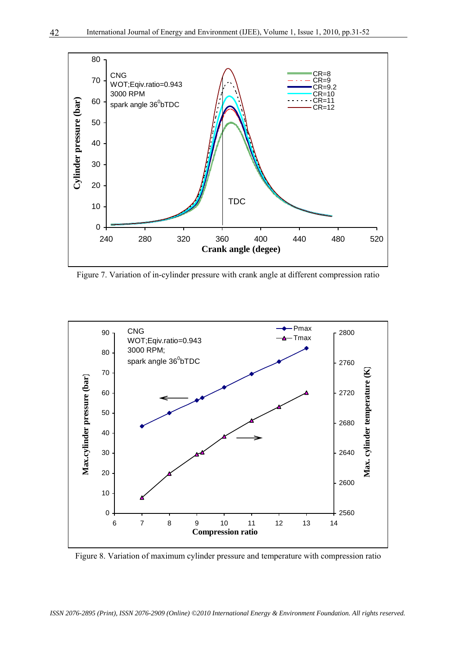

Figure 7. Variation of in-cylinder pressure with crank angle at different compression ratio



Figure 8. Variation of maximum cylinder pressure and temperature with compression ratio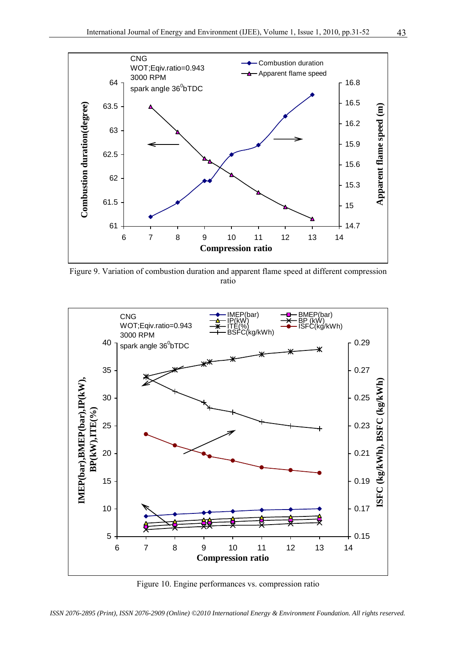

Figure 9. Variation of combustion duration and apparent flame speed at different compression ratio



Figure 10. Engine performances vs. compression ratio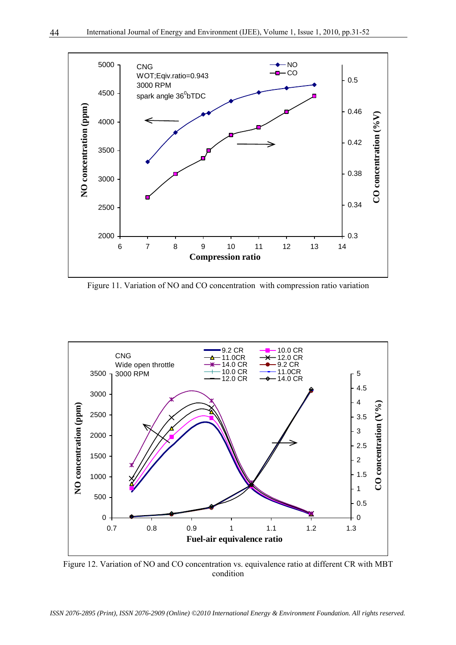

Figure 11. Variation of NO and CO concentration with compression ratio variation



Figure 12. Variation of NO and CO concentration vs. equivalence ratio at different CR with MBT condition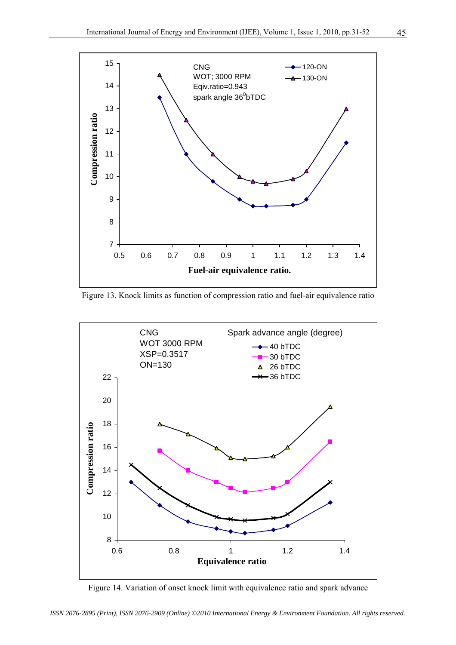

Figure 13. Knock limits as function of compression ratio and fuel-air equivalence ratio



Figure 14. Variation of onset knock limit with equivalence ratio and spark advance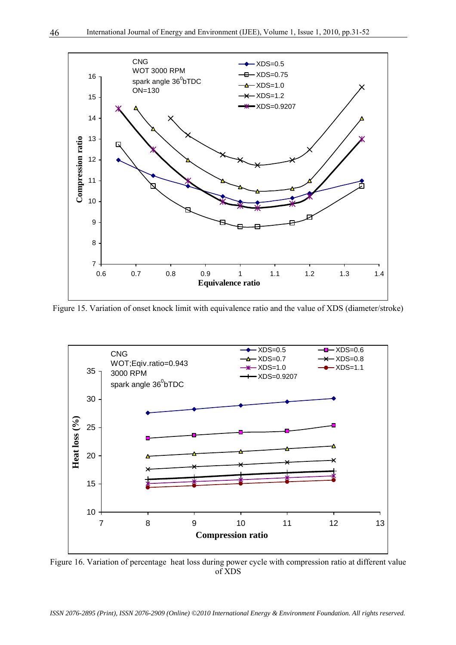

Figure 15. Variation of onset knock limit with equivalence ratio and the value of XDS (diameter/stroke)



Figure 16. Variation of percentage heat loss during power cycle with compression ratio at different value of XDS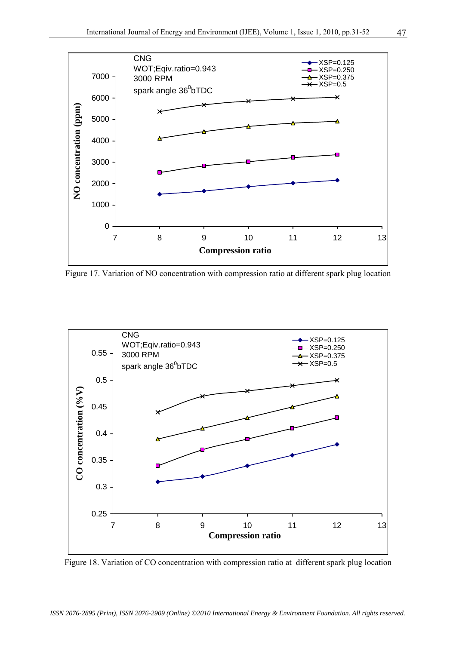

Figure 17. Variation of NO concentration with compression ratio at different spark plug location



Figure 18. Variation of CO concentration with compression ratio at different spark plug location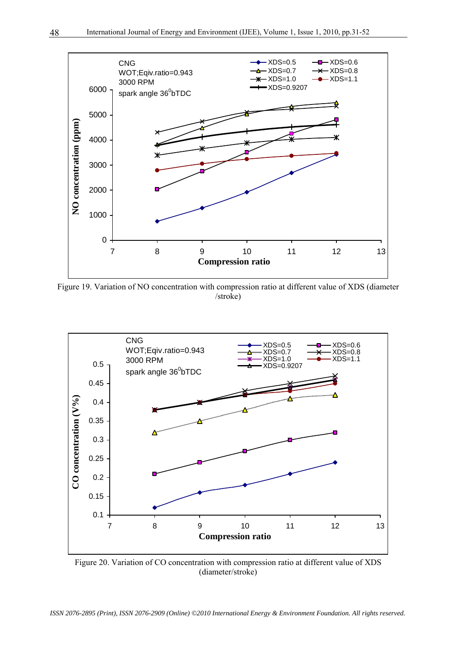

Figure 19. Variation of NO concentration with compression ratio at different value of XDS (diameter /stroke)



Figure 20. Variation of CO concentration with compression ratio at different value of XDS (diameter/stroke)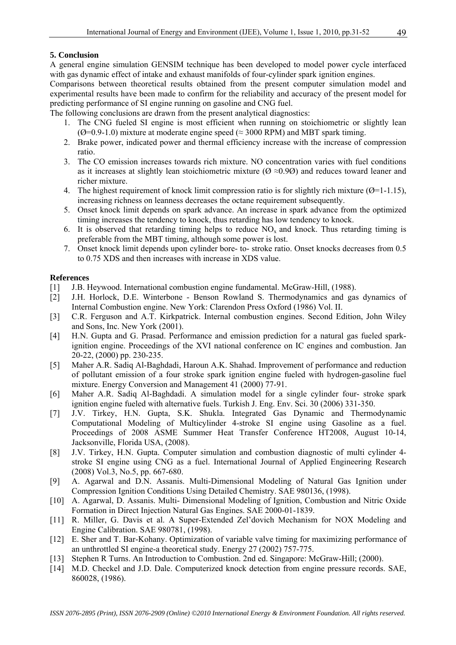## **5. Conclusion**

A general engine simulation GENSIM technique has been developed to model power cycle interfaced with gas dynamic effect of intake and exhaust manifolds of four-cylinder spark ignition engines.

Comparisons between theoretical results obtained from the present computer simulation model and experimental results have been made to confirm for the reliability and accuracy of the present model for predicting performance of SI engine running on gasoline and CNG fuel.

The following conclusions are drawn from the present analytical diagnostics:

- 1. The CNG fueled SI engine is most efficient when running on stoichiometric or slightly lean  $(\textcircled{0} = 0.9 - 1.0)$  mixture at moderate engine speed ( $\approx$  3000 RPM) and MBT spark timing.
- 2. Brake power, indicated power and thermal efficiency increase with the increase of compression ratio.
- 3. The CO emission increases towards rich mixture. NO concentration varies with fuel conditions as it increases at slightly lean stoichiometric mixture ( $\varnothing \approx 0.9\varnothing$ ) and reduces toward leaner and richer mixture.
- 4. The highest requirement of knock limit compression ratio is for slightly rich mixture ( $\varnothing$ =1-1.15), increasing richness on leanness decreases the octane requirement subsequently.
- 5. Onset knock limit depends on spark advance. An increase in spark advance from the optimized timing increases the tendency to knock, thus retarding has low tendency to knock.
- 6. It is observed that retarding timing helps to reduce  $NO<sub>x</sub>$  and knock. Thus retarding timing is preferable from the MBT timing, although some power is lost.
- 7. Onset knock limit depends upon cylinder bore- to- stroke ratio. Onset knocks decreases from 0.5 to 0.75 XDS and then increases with increase in XDS value.

#### **References**

- [1] J.B. Heywood. International combustion engine fundamental. McGraw-Hill, (1988).
- [2] J.H. Horlock, D.E. Winterbone Benson Rowland S. Thermodynamics and gas dynamics of Internal Combustion engine. New York: Clarendon Press Oxford (1986) Vol. II.
- [3] C.R. Ferguson and A.T. Kirkpatrick. Internal combustion engines. Second Edition, John Wiley and Sons, Inc. New York (2001).
- [4] H.N. Gupta and G. Prasad. Performance and emission prediction for a natural gas fueled sparkignition engine. Proceedings of the XVI national conference on IC engines and combustion. Jan 20-22, (2000) pp. 230-235.
- [5] Maher A.R. Sadiq Al-Baghdadi, Haroun A.K. Shahad. Improvement of performance and reduction of pollutant emission of a four stroke spark ignition engine fueled with hydrogen-gasoline fuel mixture. Energy Conversion and Management 41 (2000) 77-91.
- [6] Maher A.R. Sadiq Al-Baghdadi. A simulation model for a single cylinder four- stroke spark ignition engine fueled with alternative fuels. Turkish J. Eng. Env. Sci. 30 (2006) 331-350.
- [7] J.V. Tirkey, H.N. Gupta, S.K. Shukla. Integrated Gas Dynamic and Thermodynamic Computational Modeling of Multicylinder 4-stroke SI engine using Gasoline as a fuel. Proceedings of 2008 ASME Summer Heat Transfer Conference HT2008, August 10-14, Jacksonville, Florida USA, (2008).
- [8] J.V. Tirkey, H.N. Gupta. Computer simulation and combustion diagnostic of multi cylinder 4 stroke SI engine using CNG as a fuel. International Journal of Applied Engineering Research (2008) Vol.3, No.5, pp. 667-680.
- [9] A. Agarwal and D.N. Assanis. Multi-Dimensional Modeling of Natural Gas Ignition under Compression Ignition Conditions Using Detailed Chemistry. SAE 980136, (1998).
- [10] A. Agarwal, D. Assanis. Multi- Dimensional Modeling of Ignition, Combustion and Nitric Oxide Formation in Direct Injection Natural Gas Engines. SAE 2000-01-1839.
- [11] R. Miller, G. Davis et al. A Super-Extended Zel'dovich Mechanism for NOX Modeling and Engine Calibration. SAE 980781, (1998).
- [12] E. Sher and T. Bar-Kohany. Optimization of variable valve timing for maximizing performance of an unthrottled SI engine-a theoretical study. Energy 27 (2002) 757-775.
- [13] Stephen R Turns. An Introduction to Combustion. 2nd ed. Singapore: McGraw-Hill; (2000).
- [14] M.D. Checkel and J.D. Dale. Computerized knock detection from engine pressure records. SAE, 860028, (1986).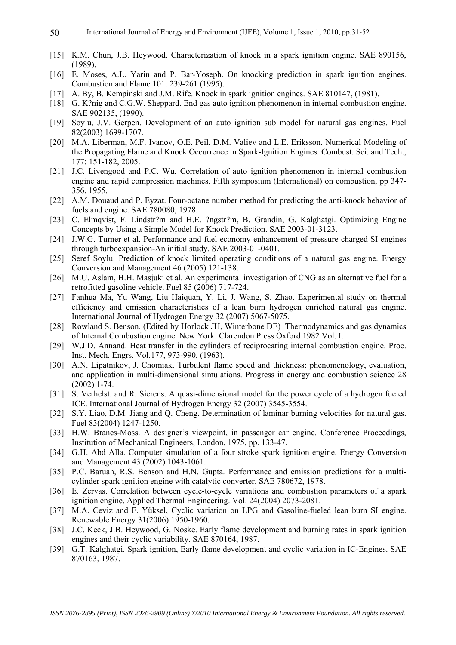- [15] K.M. Chun, J.B. Heywood. Characterization of knock in a spark ignition engine. SAE 890156, (1989).
- [16] E. Moses, A.L. Yarin and P. Bar-Yoseph. On knocking prediction in spark ignition engines. Combustion and Flame 101: 239-261 (1995).
- [17] A. By, B. Kempinski and J.M. Rife. Knock in spark ignition engines. SAE 810147, (1981).
- [18] G. K?nig and C.G.W. Sheppard. End gas auto ignition phenomenon in internal combustion engine. SAE 902135, (1990).
- [19] Soylu, J.V. Gerpen. Development of an auto ignition sub model for natural gas engines. Fuel 82(2003) 1699-1707.
- [20] M.A. Liberman, M.F. Ivanov, O.E. Peil, D.M. Valiev and L.E. Eriksson. Numerical Modeling of the Propagating Flame and Knock Occurrence in Spark-Ignition Engines. Combust. Sci. and Tech., 177: 151-182, 2005.
- [21] J.C. Livengood and P.C. Wu. Correlation of auto ignition phenomenon in internal combustion engine and rapid compression machines. Fifth symposium (International) on combustion, pp 347- 356, 1955.
- [22] A.M. Douaud and P. Eyzat. Four-octane number method for predicting the anti-knock behavior of fuels and engine. SAE 780080, 1978.
- [23] C. Elmqvist, F. Lindstr?m and H.E. ?ngstr?m, B. Grandin, G. Kalghatgi. Optimizing Engine Concepts by Using a Simple Model for Knock Prediction. SAE 2003-01-3123.
- [24] J.W.G. Turner et al. Performance and fuel economy enhancement of pressure charged SI engines through turboexpansion-An initial study. SAE 2003-01-0401.
- [25] Seref Soylu. Prediction of knock limited operating conditions of a natural gas engine. Energy Conversion and Management 46 (2005) 121-138.
- [26] M.U. Aslam, H.H. Masjuki et al. An experimental investigation of CNG as an alternative fuel for a retrofitted gasoline vehicle. Fuel 85 (2006) 717-724.
- [27] Fanhua Ma, Yu Wang, Liu Haiquan, Y. Li, J. Wang, S. Zhao. Experimental study on thermal efficiency and emission characteristics of a lean burn hydrogen enriched natural gas engine. International Journal of Hydrogen Energy 32 (2007) 5067-5075.
- [28] Rowland S. Benson. (Edited by Horlock JH, Winterbone DE) Thermodynamics and gas dynamics of Internal Combustion engine. New York: Clarendon Press Oxford 1982 Vol. I.
- [29] W.J.D. Annand. Heat transfer in the cylinders of reciprocating internal combustion engine. Proc. Inst. Mech. Engrs. Vol.177, 973-990, (1963).
- [30] A.N. Lipatnikov, J. Chomiak. Turbulent flame speed and thickness: phenomenology, evaluation, and application in multi-dimensional simulations. Progress in energy and combustion science 28 (2002) 1-74.
- [31] S. Verhelst. and R. Sierens. A quasi-dimensional model for the power cycle of a hydrogen fueled ICE. International Journal of Hydrogen Energy 32 (2007) 3545-3554.
- [32] S.Y. Liao, D.M. Jiang and Q. Cheng. Determination of laminar burning velocities for natural gas. Fuel 83(2004) 1247-1250.
- [33] H.W. Branes-Moss. A designer's viewpoint, in passenger car engine. Conference Proceedings, Institution of Mechanical Engineers, London, 1975, pp. 133-47.
- [34] G.H. Abd Alla. Computer simulation of a four stroke spark ignition engine. Energy Conversion and Management 43 (2002) 1043-1061.
- [35] P.C. Baruah, R.S. Benson and H.N. Gupta. Performance and emission predictions for a multicylinder spark ignition engine with catalytic converter. SAE 780672, 1978.
- [36] E. Zervas. Correlation between cycle-to-cycle variations and combustion parameters of a spark ignition engine. Applied Thermal Engineering. Vol. 24(2004) 2073-2081.
- [37] M.A. Ceviz and F. Yüksel, Cyclic variation on LPG and Gasoline-fueled lean burn SI engine. Renewable Energy 31(2006) 1950-1960.
- [38] J.C. Keck, J.B. Heywood, G. Noske. Early flame development and burning rates in spark ignition engines and their cyclic variability. SAE 870164, 1987.
- [39] G.T. Kalghatgi. Spark ignition, Early flame development and cyclic variation in IC-Engines. SAE 870163, 1987.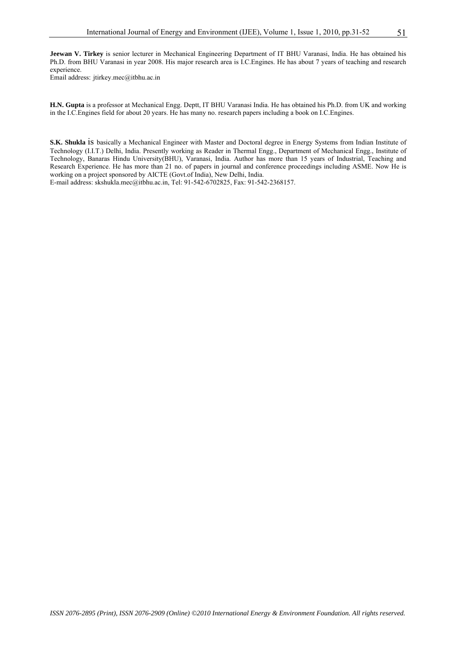**Jeewan V. Tirkey** is senior lecturer in Mechanical Engineering Department of IT BHU Varanasi, India. He has obtained his Ph.D. from BHU Varanasi in year 2008. His major research area is I.C.Engines. He has about 7 years of teaching and research experience.

Email address: jtirkey.mec@itbhu.ac.in

**H.N. Gupta** is a professor at Mechanical Engg. Deptt, IT BHU Varanasi India. He has obtained his Ph.D. from UK and working in the I.C.Engines field for about 20 years. He has many no. research papers including a book on I.C.Engines.

**S.K. Shukla** is basically a Mechanical Engineer with Master and Doctoral degree in Energy Systems from Indian Institute of Technology (I.I.T.) Delhi, India. Presently working as Reader in Thermal Engg., Department of Mechanical Engg., Institute of Technology, Banaras Hindu University(BHU), Varanasi, India. Author has more than 15 years of Industrial, Teaching and Research Experience. He has more than 21 no. of papers in journal and conference proceedings including ASME. Now He is working on a project sponsored by AICTE (Govt.of India), New Delhi, India.

E-mail address: skshukla.mec@itbhu.ac.in, Tel: 91-542-6702825, Fax: 91-542-2368157.